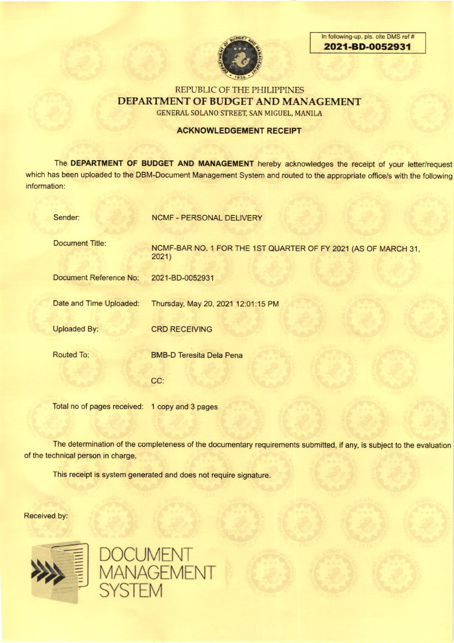

ln following-up, pls. cite DMS ref # 2021-BD-OO52931

# REPUBLIC OF THE PHILIPPINES DEPARTMENT OF BUDGET AND MANAGEMENT GENERAL SOLANO STREET, SAN MIGUEL, MANILA

### ACKNOWLEDGEMENT RECEIPT

The DEPARTMENT OF BUDGET AND MANAGEMENT hereby acknowledges the receipt of your letter/request which has been uploaded to the DBM-Document Management System and routed to the appropriate office/s with the following information:

| Sender:                       | <b>NCMF - PERSONAL DELIVERY</b>                                         |
|-------------------------------|-------------------------------------------------------------------------|
| <b>Document Title:</b>        | NCMF-BAR NO. 1 FOR THE 1ST QUARTER OF FY 2021 (AS OF MARCH 31,<br>2021) |
| <b>Document Reference No:</b> | 2021-BD-0052931                                                         |
| Date and Time Uploaded:       | Thursday, May 20, 2021 12:01:15 PM                                      |
| <b>Uploaded By:</b>           | <b>CRD RECEIVING</b>                                                    |
| <b>Routed To:</b>             | <b>BMB-D Teresita Dela Pena</b>                                         |
|                               | CC:                                                                     |
|                               |                                                                         |

Total no of pages received: 1 copy and 3 pages

The determination of the completeness of the documentary requirements submitted, if any, is subject to the evaluation of the technical person in charge.

This receipt is system generated and does not require signature.

Received by:



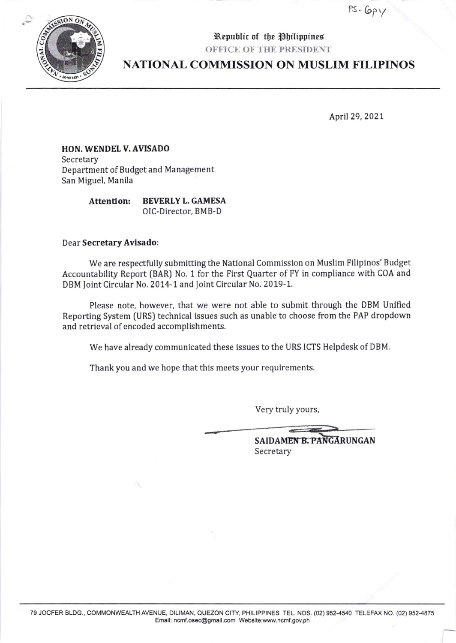$PS- Gpy$ 



# OFFICE OF THE PRESIDENT

Republic of the Philippines

# **NATIONAL COMMISSION ON MUSLIM FILIPINOS**

April 29, 2021

## HON. WENDEL V. AVISADO Secretary Department of Budget and Management San Miguel, Manila

**BEVERLY L. GAMESA Attention:** OIC-Director, BMB-D

### Dear Secretary Avisado:

We are respectfully submitting the National Commission on Muslim Filipinos' Budget Accountability Report (BAR) No. 1 for the First Quarter of FY in compliance with COA and DBM Joint Circular No. 2014-1 and Joint Circular No. 2019-1.

Please note, however, that we were not able to submit through the DBM Unified Reporting System (URS) technical issues such as unable to choose from the PAP dropdown and retrieval of encoded accomplishments.

We have already communicated these issues to the URS ICTS Helpdesk of DBM.

Thank you and we hope that this meets your requirements.

Very truly yours,

| SAIDAMEN B. PANGARUNGAN |
|-------------------------|
| Secretary               |